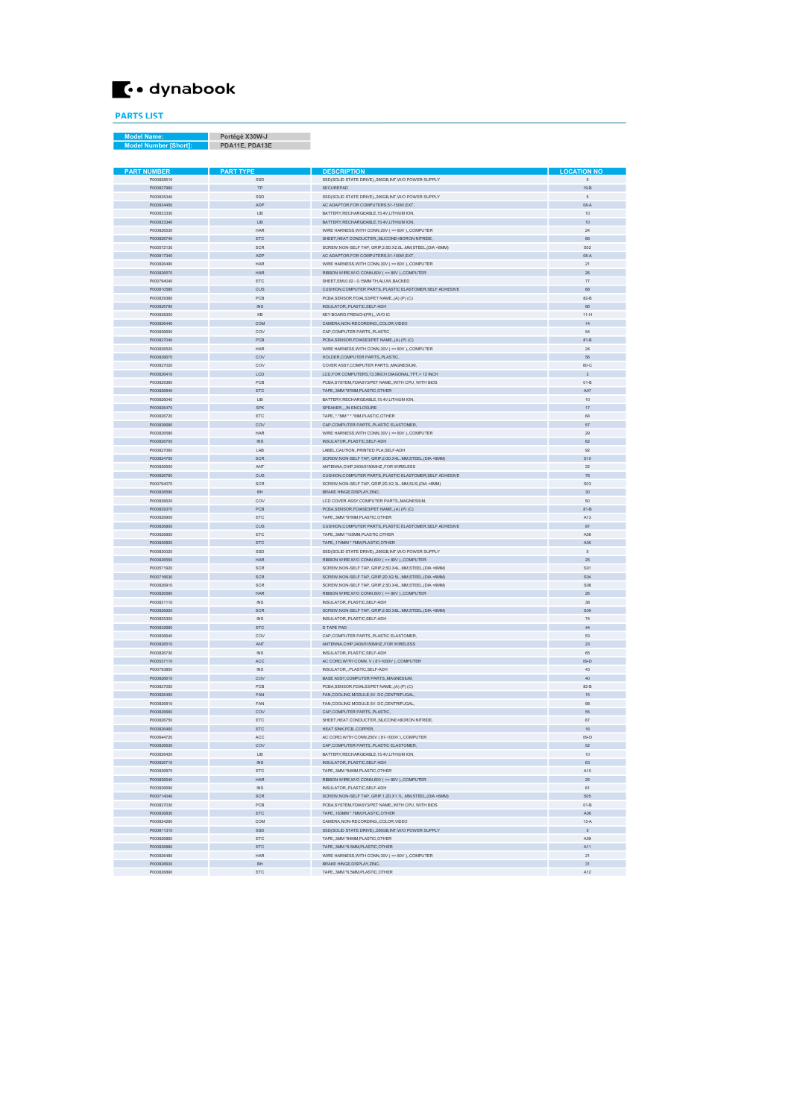## $\bullet$  dynabook

PARTS LIST

Model Name: Portégé X30W-J Model Number [Short]: PDA11E, PDA13E

| <b>PART NUMBER</b>       | <b>PART TYPE</b>        | <b>DESCRIPTION</b>                                                                          | <b>LOCATION NO</b> |
|--------------------------|-------------------------|---------------------------------------------------------------------------------------------|--------------------|
| P000828510               | SSD                     | SSD(SOLID STATE DRIVE), 256GB, INT, W/O POWER SUPPLY                                        | 5                  |
| P000837960               | TP                      | SECUREPAD                                                                                   | $19-B$             |
| P000835340               | SSD                     | SSD(SOLID STATE DRIVE), 256GB, INT, W/O POWER SUPPLY                                        | 5                  |
| P000834450               | <b>ADP</b>              | AC ADAPTOR.FOR COMPUTERS.51-150W.EXT.                                                       | $08-A$             |
| P000833330               | LIB                     | BATTERY.RECHARGEABLE.15.4V.LITHIUM ION.                                                     | 10                 |
| P000833340               | LIB                     | BATTERY, RECHARGEABLE, 15.4V, LITHIUM ION,                                                  | 10                 |
| P000826530               | HAR                     | WIRE HARNESS, WITH CONN, 20V ( <= 80V ),, COMPUTER                                          | 24                 |
| P000826740               | ETC                     | SHEET, HEAT CONDUCTER, SILICONE+BORON NITRIDE,                                              | 66                 |
| P000572130               | SCR                     | SCREW, NON-SELF TAP, GRIP, 2.5D.X2.5LMM, STEEL, (DIA <6MM)                                  | S02                |
| P000817340               | ADP                     | AC ADAPTOR, FOR COMPUTERS, 51-150W, EXT,                                                    | $08-A$             |
| P000826490               | HAR                     | WIRE HARNESS, WITH CONN, 30V (<= 80V),, COMPUTER                                            | 21                 |
| P000826570               | <b>HAR</b>              | RIBBON WIRE, W/O CONN, 60V (<= 80V), COMPUTER                                               | 26                 |
| P000794040               | ETC                     | SHEET.EMI.0.02 - 0.15MM TH.ALUMBACKED                                                       | 77                 |
| P000810580               | CUS                     | CUSHION, COMPUTER PARTS, PLASTIC ELASTOMER, SELF ADHESIVE                                   | 68                 |
| P000829380               | PCB                     | PCBA, SENSOR, FDIALS3/PET NAME, (A) (P) (C)                                                 | $82 - B$           |
| P000826790               | $\mathbb{N} \mathbb{S}$ | INSULATOR, PLASTIC, SELF-ADH                                                                | 86                 |
| P000828300               | KB                      | KEY BOARD, FRENCH(FR),., W/O IC                                                             | $11-H$             |
| P000826440               | COM                     | CAMERA, NON-RECORDING, COLOR, VIDEO                                                         | 14                 |
| P000826650               | COV                     | CAP,COMPUTER PARTS, PLASTIC,                                                                | 54                 |
| P000827040               | PCB                     | PCBA, SENSOR, FDIASE3/PET NAME, (A) (P) (C)                                                 | $81 - B$           |
| P000826520               | <b>HAR</b>              | WIRE HARNESS, WITH CONN, 30V ( <= 80V ),, COMPUTER                                          | 24                 |
| P000826670               | COV                     | HOLDER, COMPUTER PARTS, PLASTIC,                                                            | 56                 |
| P000827020               | COV                     | COVER ASSY, COMPUTER PARTS, MAGNESIUM,                                                      | 60-C               |
| P000826410               | LCD                     | LCD, FOR COMPUTERS, 13.3NCH DIAGONAL, TFT, > 12 INCH                                        | 3                  |
| P000829360               | PCB                     | PCBA, SYSTEM, FDIASY3/PET NAME, WITH CPU, WITH BIOS                                         | $01-B$             |
|                          | ETC                     |                                                                                             | A07                |
| P000826840<br>P000826040 | LIB                     | TAPE,,3MM *97MM,PLASTIC,OTHER                                                               | 10                 |
|                          |                         | BATTERY, RECHARGEABLE, 15.4V, LITHIUM ION,                                                  | 17                 |
| P000826470               | <b>SPK</b>              | SPEAKER,, IN ENCLOSURE                                                                      |                    |
| P000826720               | ETC                     | TAPE*.*MM * *.*MM.PLASTIC.OTHER                                                             | 64<br>57           |
| P000826680               | COV                     | CAP, COMPUTER PARTS, PLASTIC ELASTOMER,                                                     |                    |
| P000826580               | HAR                     | WIRE HARNESS, WITH CONN, 30V (<= 80V), COMPUTER                                             | 29                 |
| P000826700               | $\mathbb{N} \mathbb{S}$ | INSULATOR, PLASTIC, SELF-ADH                                                                | 62                 |
| P000827060               | LAB                     | LAREL CALITION, PRINTED PLA SELE-ADH.                                                       | 92                 |
| P000824750               | SCR                     | SCREW, NON-SELF TAP, GRIP, 2.0D.X4LMM, STEEL, (DIA <6MM)                                    | S10                |
| P000826500               | ANT                     | ANTENNA, CHIP, 2400/5150MHZ, FOR WIRELESS                                                   | $\overline{22}$    |
| P000826760               | CUS                     | CUSHION, COMPUTER PARTS, PLASTIC ELASTOMER, SELF ADHESIVE                                   | 78                 |
| P000794070               | SCR                     | SCREW, NON-SELF TAP, GRIP, 2D.X2.3L.MM, SUS, (DIA <6MM)                                     | S03                |
| P000826590               | <b>BH</b>               | BRAKE HINGE DISPLAY ZINC.                                                                   | 30                 |
| P000826620               | COV                     | LCD COVER ASSY, COMPUTER PARTS, MAGNESIUM,                                                  | 50                 |
| P000829370               | PCB                     | PCBA, SENSOR, FDIASE3/PET NAME, (A) (P) (C)                                                 | $81 - B$           |
| P000826900               | ETC                     | TAPE, 3MM *67MM, PLASTIC, OTHER                                                             | A13                |
| P000826800               | CUS                     | CUSHION, COMPUTER PARTS, PLASTIC ELASTOMER, SELF ADHESIVE                                   | 87                 |
| P000826850               | ETC                     | TAPE,,3MM *105MM,PLASTIC,OTHER                                                              | A08                |
| P000826820               | ETC                     | TAPE,,174MM * 7MM,PLASTIC,OTHER                                                             | A05                |
| P000830020               | SSD                     | SSD(SOLID STATE DRIVE), 256GB, INT, W/O POWER SUPPLY                                        | 5                  |
| P000826550               | <b>HAR</b>              | RIBBON WIRE, W/O CONN, 60V ( <= 80V ), COMPUTER                                             | 25                 |
| P000571920               | SCR                     | SCREW, NON-SELF TAP, GRIP, 2.5D.X4LMM, STEEL, (DIA <6MM)                                    | S01                |
| P000716630               | <b>SCR</b>              | SCREW, NON-SELF TAP, GRIP, 2D.X2.5LMM, STEEL, (DIA <6MM)                                    | S <sub>04</sub>    |
| P000826910               | SCR                     | SCREW, NON-SELF TAP, GRIP, 2.5D.X4LMM, STEEL, (DIA <6MM)                                    | <b>S08</b>         |
| P000826560               | <b>HAR</b>              | RIBBON WIRE, W/O CONN, 60V ( <= 80V ),, COMPUTER                                            | 26                 |
| P000831110               | $N$                     | INSULATOR, PLASTIC, SELF-ADH                                                                | 38                 |
| P000826920               | SCR                     | SCREW, NON-SELF TAP, GRIP, 2.5D.X6LMM, STEEL, (DIA <6MM)                                    | <b>SO9</b>         |
| P000825300               | $N$                     | INSULATOR, PLASTIC, SELF-ADH                                                                | 74                 |
| P000832660               | ETC                     | D TAPE PAD                                                                                  | 44                 |
| P000826640               | COV                     | CAP, COMPUTER PARTS, PLASTIC ELASTOMER,                                                     | 53                 |
| P000826510               | ANT                     | ANTENNA, CHIP, 2400/5150MHZ, FOR WIRELESS                                                   | 23                 |
| P000826730               | $\mathbb{N}\mathbb{S}$  | INSULATOR, PLASTIC, SELF-ADH                                                                | 65                 |
| P000537110               | ACC                     | AC CORD, WITH CONN, V (81-1000V), COMPUTER                                                  | 09-D               |
| P000793850               | INS                     | INSULATOR, PLASTIC, SELF-ADH                                                                | 43                 |
| P000826610               | COV                     | BASE ASSY, COMPUTER PARTS, MAGNESIUM,                                                       | 40                 |
| P000827050               | PCB                     | PCBA, SENSOR, FDIALS3/PET NAME, (A) (P) (C)                                                 | $82 - B$           |
| P000826450               | FAN                     | FAN.COOLING MODULE.5V, DC.CENTRIFUGAL                                                       | 15                 |
| P000826810               | FAN                     | FAN,COOLING MODULE,5V. DC,CENTRIFUGAL,                                                      | 98                 |
| P000826660               | COV                     | CAP,COMPUTER PARTS, PLASTIC,                                                                | 55                 |
| P000826750               | ETC                     | SHEET, HEAT CONDUCTER, SILICONE+BORON NITRIDE,                                              | 67                 |
| P000826460               | ETC                     | HEAT SINK.PCBCOPPER                                                                         | 16                 |
| P000644720               | ACC                     | AC CORD, WITH CONN, 250V (81-1000V), COMPUTER                                               | 09-D               |
| P000826630               | COV                     | CAP, COMPUTER PARTS, PLASTIC ELASTOMER                                                      | 52                 |
| P000826420               | LIB                     | BATTERY.RECHARGEABLE.15.4V.LITHIUM ION                                                      |                    |
| P000826710               | $\mathbb{N}\mathbb{S}$  | INSULATOR, PLASTIC, SELF-ADH                                                                | 63                 |
| P000826870               | ETC                     | TAPE 3MM "84MM PLASTIC OTHER                                                                | A10                |
| P000826540               | HAR                     | RIBBON WIRE, W/O CONN, 60V ( <= 80V ),, COMPUTER                                            | 25                 |
| P000826690               | INS                     | INSULATOR, PLASTIC, SELF-ADH                                                                | 61                 |
| P000714040               | SCR                     | SCREW, NON-SELF TAP, GRIP, 1.2D.X1.1LMM, STEEL, (DIA <6MM)                                  | <b>S05</b>         |
| P000827030               | PCB                     | PCBA,SYSTEM,FDIASY3/PET NAME,,WITH CPU, WITH BIOS                                           | $01-B$             |
|                          |                         |                                                                                             | A06                |
| P000826830               | ETC                     | TAPE., 183MM * 7MM, PLASTIC, OTHER                                                          |                    |
| P000824260               | COM                     | CAMERA, NON-RECORDING, COLOR, VIDEO<br>SSD(SOLID STATE DRIVE), 256GB, INT, W/O POWER SUPPLY | $13-A$             |
| P000811310               | SSD                     |                                                                                             | $\sqrt{5}$         |
| P000826860               | ETC                     | TAPE 3MM *84MM.PLASTIC.OTHER                                                                | A09                |
| P000826880               | ETC                     | TAPE, 3MM *6.5MM, PLASTIC, OTHER                                                            | A11                |
| P000826480               | HAR                     | WIRE HARNESS, WITH CONN, 30V (<= 80V), COMPUTER                                             | 21                 |
| P000826600               | BH                      | BRAKE HINGE, DISPLAY, ZINC,                                                                 | 31                 |
| P000826890               | ETC                     | TAPE, 3MM *6.5MM, PLASTIC, OTHER                                                            | A12                |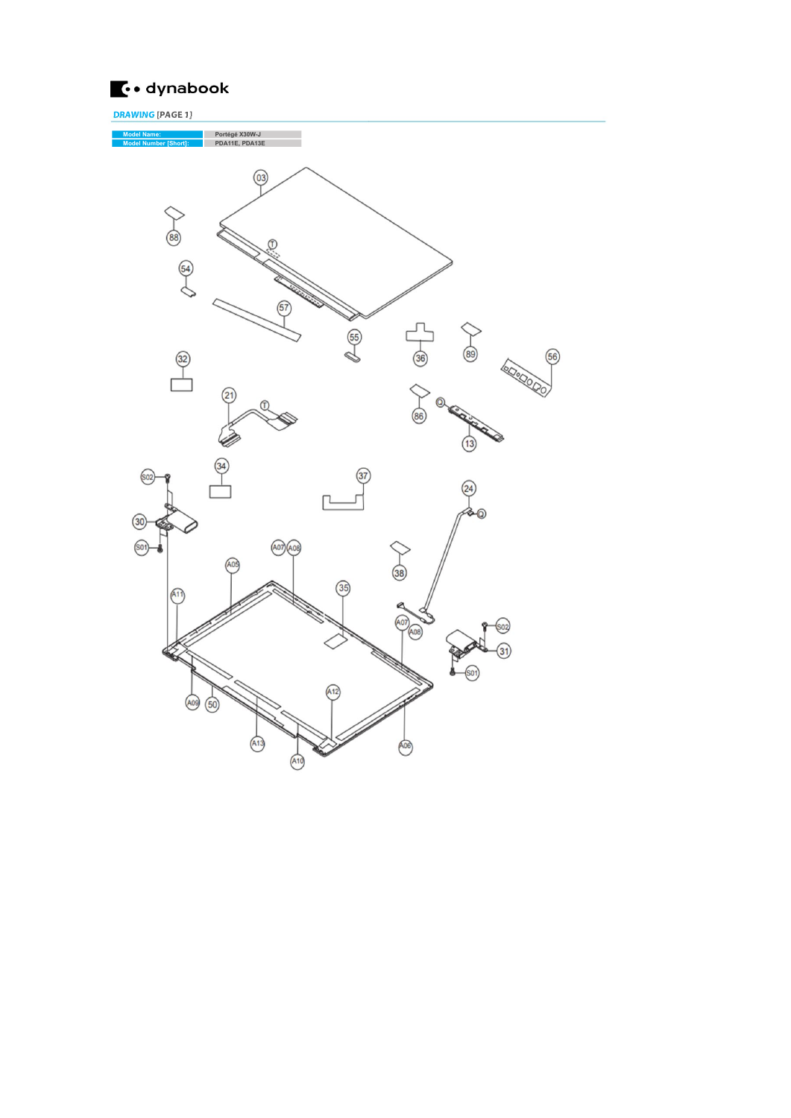

DRAWING [PAGE 1]